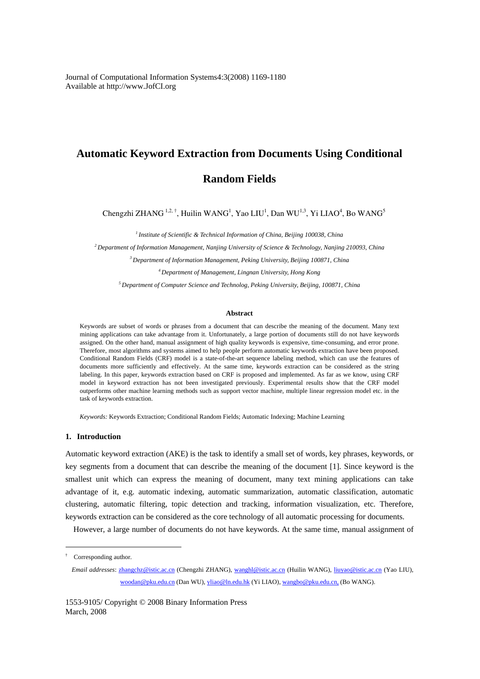Journal of Computational Information Systems4:3(2008) 1169-1180 Available at http://www.JofCI.org

# **Automatic Keyword Extraction from Documents Using Conditional**

**Random Fields** 

Chengzhi ZHANG<sup>1,2,†</sup>, Huilin WANG<sup>1</sup>, Yao LIU<sup>1</sup>, Dan WU<sup>1,3</sup>, Yi LIAO<sup>4</sup>, Bo WANG<sup>5</sup>

*1 Institute of Scientific & Technical Information of China, Beijing 100038, China* 

*2 Department of Information Management, Nanjing University of Science & Technology, Nanjing 210093, China* 

*3 Department of Information Management, Peking University, Beijing 100871, China* 

*4 Department of Management, Lingnan University, Hong Kong* 

*5 Department of Computer Science and Technolog, Peking University, Beijing, 100871, China* 

# **Abstract**

Keywords are subset of words or phrases from a document that can describe the meaning of the document. Many text mining applications can take advantage from it. Unfortunately, a large portion of documents still do not have keywords assigned. On the other hand, manual assignment of high quality keywords is expensive, time-consuming, and error prone. Therefore, most algorithms and systems aimed to help people perform automatic keywords extraction have been proposed. Conditional Random Fields (CRF) model is a state-of-the-art sequence labeling method, which can use the features of documents more sufficiently and effectively. At the same time, keywords extraction can be considered as the string labeling. In this paper, keywords extraction based on CRF is proposed and implemented. As far as we know, using CRF model in keyword extraction has not been investigated previously. Experimental results show that the CRF model outperforms other machine learning methods such as support vector machine, multiple linear regression model etc. in the task of keywords extraction.

*Keywords:* Keywords Extraction; Conditional Random Fields; Automatic Indexing; Machine Learning

## **1. Introduction**

Automatic keyword extraction (AKE) is the task to identify a small set of words, key phrases, keywords, or key segments from a document that can describe the meaning of the document [1]. Since keyword is the smallest unit which can express the meaning of document, many text mining applications can take advantage of it, e.g. automatic indexing, automatic summarization, automatic classification, automatic clustering, automatic filtering, topic detection and tracking, information visualization, etc. Therefore, keywords extraction can be considered as the core technology of all automatic processing for documents.

However, a large number of documents do not have keywords. At the same time, manual assignment of

 $\overline{a}$ 

<sup>†</sup> Corresponding author.

*Email addresses*: zhangchz@istic.ac.cn (Chengzhi ZHANG), wanghl@istic.ac.cn (Huilin WANG), liuyao@istic.ac.cn (Yao LIU), woodan@pku.edu.cn (Dan WU), yliao@ln.edu.hk (Yi LIAO), wangbo@pku.edu.cn, (Bo WANG).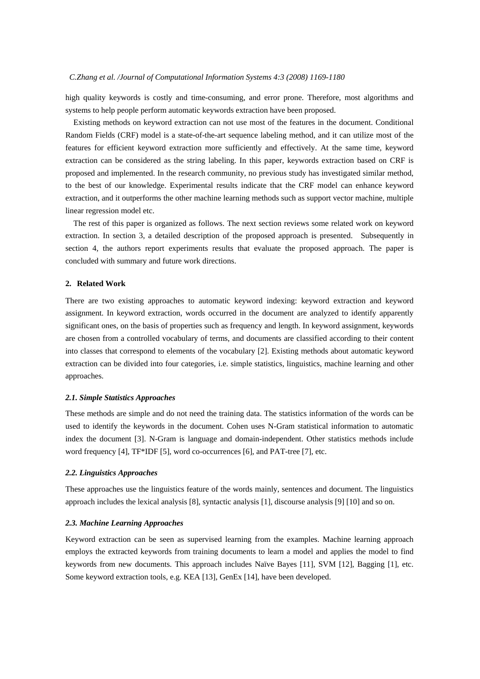high quality keywords is costly and time-consuming, and error prone. Therefore, most algorithms and systems to help people perform automatic keywords extraction have been proposed.

Existing methods on keyword extraction can not use most of the features in the document. Conditional Random Fields (CRF) model is a state-of-the-art sequence labeling method, and it can utilize most of the features for efficient keyword extraction more sufficiently and effectively. At the same time, keyword extraction can be considered as the string labeling. In this paper, keywords extraction based on CRF is proposed and implemented. In the research community, no previous study has investigated similar method, to the best of our knowledge. Experimental results indicate that the CRF model can enhance keyword extraction, and it outperforms the other machine learning methods such as support vector machine, multiple linear regression model etc.

The rest of this paper is organized as follows. The next section reviews some related work on keyword extraction. In section 3, a detailed description of the proposed approach is presented. Subsequently in section 4, the authors report experiments results that evaluate the proposed approach. The paper is concluded with summary and future work directions.

# **2. Related Work**

There are two existing approaches to automatic keyword indexing: keyword extraction and keyword assignment. In keyword extraction, words occurred in the document are analyzed to identify apparently significant ones, on the basis of properties such as frequency and length. In keyword assignment, keywords are chosen from a controlled vocabulary of terms, and documents are classified according to their content into classes that correspond to elements of the vocabulary [2]. Existing methods about automatic keyword extraction can be divided into four categories, i.e. simple statistics, linguistics, machine learning and other approaches.

#### *2.1. Simple Statistics Approaches*

These methods are simple and do not need the training data. The statistics information of the words can be used to identify the keywords in the document. Cohen uses N-Gram statistical information to automatic index the document [3]. N-Gram is language and domain-independent. Other statistics methods include word frequency [4], TF\*IDF [5], word co-occurrences [6], and PAT-tree [7], etc.

#### *2.2. Linguistics Approaches*

These approaches use the linguistics feature of the words mainly, sentences and document. The linguistics approach includes the lexical analysis [8], syntactic analysis [1], discourse analysis [9] [10] and so on.

## *2.3. Machine Learning Approaches*

Keyword extraction can be seen as supervised learning from the examples. Machine learning approach employs the extracted keywords from training documents to learn a model and applies the model to find keywords from new documents. This approach includes Naïve Bayes [11], SVM [12], Bagging [1], etc. Some keyword extraction tools, e.g. KEA [13], GenEx [14], have been developed.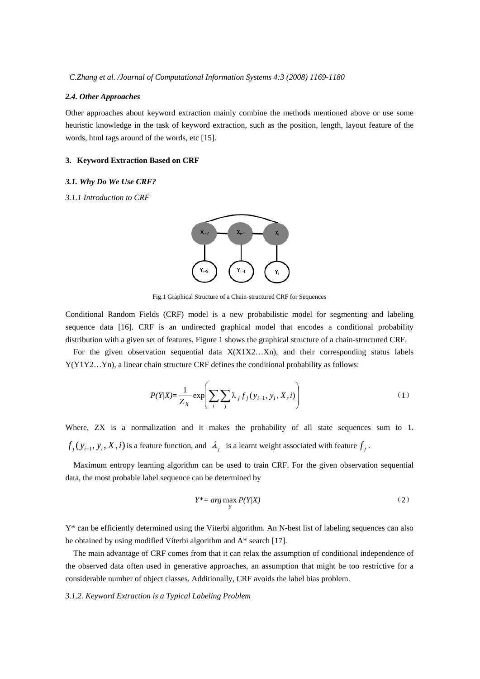#### *2.4. Other Approaches*

Other approaches about keyword extraction mainly combine the methods mentioned above or use some heuristic knowledge in the task of keyword extraction, such as the position, length, layout feature of the words, html tags around of the words, etc [15].

#### **3. Keyword Extraction Based on CRF**

# *3.1. Why Do We Use CRF?*

#### *3.1.1 Introduction to CRF*



Fig.1 Graphical Structure of a Chain-structured CRF for Sequences

Conditional Random Fields (CRF) model is a new probabilistic model for segmenting and labeling sequence data [16]. CRF is an undirected graphical model that encodes a conditional probability distribution with a given set of features. Figure 1 shows the graphical structure of a chain-structured CRF.

For the given observation sequential data  $X(X1X2...Xn)$ , and their corresponding status labels Y(Y1Y2…Yn), a linear chain structure CRF defines the conditional probability as follows:

$$
P(Y|X) = \frac{1}{Z_X} \exp\left(\sum_{i} \sum_{j} \lambda_j f_j(y_{i-1}, y_i, X, i)\right)
$$
 (1)

Where, ZX is a normalization and it makes the probability of all state sequences sum to 1.  $f_i(y_{i-1}, y_i, X, i)$  is a feature function, and  $\lambda_i$  is a learnt weight associated with feature  $f_i$ .

Maximum entropy learning algorithm can be used to train CRF. For the given observation sequential data, the most probable label sequence can be determined by

$$
Y^* = \arg\max_{y} P(Y|X) \tag{2}
$$

Y\* can be efficiently determined using the Viterbi algorithm. An N-best list of labeling sequences can also be obtained by using modified Viterbi algorithm and A\* search [17].

The main advantage of CRF comes from that it can relax the assumption of conditional independence of the observed data often used in generative approaches, an assumption that might be too restrictive for a considerable number of object classes. Additionally, CRF avoids the label bias problem.

## *3.1.2. Keyword Extraction is a Typical Labeling Problem*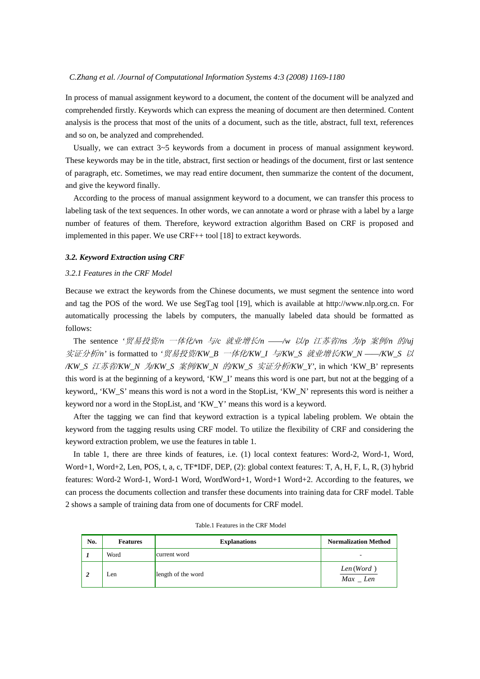In process of manual assignment keyword to a document, the content of the document will be analyzed and comprehended firstly. Keywords which can express the meaning of document are then determined. Content analysis is the process that most of the units of a document, such as the title, abstract, full text, references and so on, be analyzed and comprehended.

Usually, we can extract  $3\nu$ -5 keywords from a document in process of manual assignment keyword. These keywords may be in the title, abstract, first section or headings of the document, first or last sentence of paragraph, etc. Sometimes, we may read entire document, then summarize the content of the document, and give the keyword finally.

According to the process of manual assignment keyword to a document, we can transfer this process to labeling task of the text sequences. In other words, we can annotate a word or phrase with a label by a large number of features of them. Therefore, keyword extraction algorithm Based on CRF is proposed and implemented in this paper. We use CRF++ tool [18] to extract keywords.

### *3.2. Keyword Extraction using CRF*

## *3.2.1 Features in the CRF Model*

Because we extract the keywords from the Chinese documents, we must segment the sentence into word and tag the POS of the word. We use SegTag tool [19], which is available at http://www.nlp.org.cn. For automatically processing the labels by computers, the manually labeled data should be formatted as follows:

The sentence *'*贸易投资*/n* 一体化*/vn* 与*/c* 就业增长*/n ——/w* 以*/p* 江苏省*/ns* 为*/p* 案例*/n* 的*/uj*  实证分析*/n'* is formatted to *'*贸易投资*/KW\_B* 一体化*/KW\_I* 与*/KW\_S* 就业增长*/KW\_N ——/KW\_S* 以 */KW\_S* 江苏省*/KW\_N* 为*/KW\_S* 案例*/KW\_N* 的*/KW\_S* 实证分析*/KW\_Y'*, in which 'KW\_B' represents this word is at the beginning of a keyword, 'KW\_I' means this word is one part, but not at the begging of a keyword,, 'KW\_S' means this word is not a word in the StopList, 'KW\_N' represents this word is neither a keyword nor a word in the StopList, and 'KW\_Y' means this word is a keyword.

After the tagging we can find that keyword extraction is a typical labeling problem. We obtain the keyword from the tagging results using CRF model. To utilize the flexibility of CRF and considering the keyword extraction problem, we use the features in table 1.

In table 1, there are three kinds of features, i.e. (1) local context features: Word-2, Word-1, Word, Word+1, Word+2, Len, POS, t, a, c, TF\*IDF, DEP, (2): global context features: T, A, H, F, L, R, (3) hybrid features: Word-2 Word-1, Word-1 Word, WordWord+1, Word+1 Word+2. According to the features, we can process the documents collection and transfer these documents into training data for CRF model. Table 2 shows a sample of training data from one of documents for CRF model.

| No. | <b>Features</b> | <b>Explanations</b> | <b>Normalization Method</b>   |
|-----|-----------------|---------------------|-------------------------------|
|     | Word            | current word        | -                             |
|     | Len             | length of the word  | Len(Word)<br>$Max$ <i>Len</i> |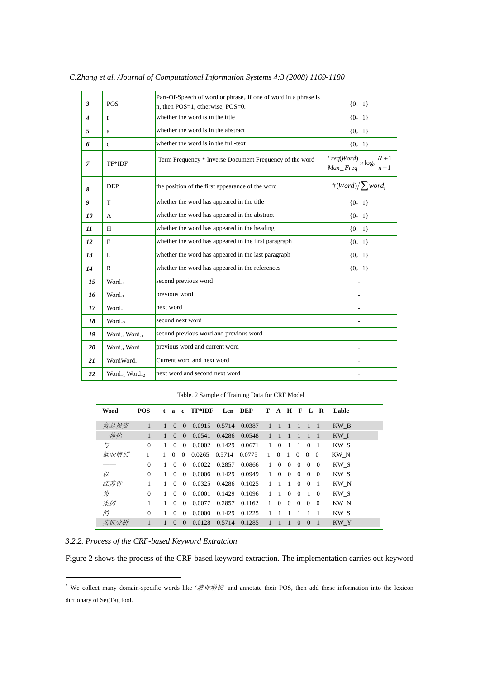| $\mathbf{3}$     | <b>POS</b>                            | Part-Of-Speech of word or phrase, if one of word in a phrase is<br>n, then POS=1, otherwise, POS=0. | ${0, 1}$                                                     |
|------------------|---------------------------------------|-----------------------------------------------------------------------------------------------------|--------------------------------------------------------------|
| $\boldsymbol{4}$ | t                                     | whether the word is in the title                                                                    | $\{0, 1\}$                                                   |
| 5                | a                                     | whether the word is in the abstract                                                                 | ${0, 1}$                                                     |
| 6                | $\mathbf{c}$                          | whether the word is in the full-text                                                                | $\{0, 1\}$                                                   |
| $\overline{7}$   | TF*IDF                                | Term Frequency * Inverse Document Frequency of the word                                             | $\frac{Freq(Word)}{Max\_Freq} \times \log_2 \frac{N+1}{n+1}$ |
| 8                | <b>DEP</b>                            | the position of the first appearance of the word                                                    | #(Word) $\sum$ word <sub>i</sub>                             |
| 9                | T                                     | whether the word has appeared in the title                                                          | ${0, 1}$                                                     |
| 10               | A                                     | whether the word has appeared in the abstract                                                       | ${0, 1}$                                                     |
| 11               | H                                     | whether the word has appeared in the heading                                                        | ${0, 1}$                                                     |
| 12               | F                                     | whether the word has appeared in the first paragraph                                                | ${0, 1}$                                                     |
| 13               | L                                     | whether the word has appeared in the last paragraph                                                 | ${0, 1}$                                                     |
| 14               | $\mathbb{R}$                          | whether the word has appeared in the references                                                     | ${0, 1}$                                                     |
| 15               | Word <sub>-2</sub>                    | second previous word                                                                                |                                                              |
| 16               | $Word_{-1}$                           | previous word                                                                                       |                                                              |
| 17               | $Word_{+1}$                           | next word                                                                                           |                                                              |
| 18               | $Word_{+2}$                           | second next word                                                                                    |                                                              |
| 19               | Word <sub>-2</sub> Word <sub>-1</sub> | second previous word and previous word                                                              |                                                              |
| 20               | Word <sub>-1</sub> Word               | previous word and current word                                                                      |                                                              |
| 21               | WordWord <sub>+1</sub>                | Current word and next word                                                                          |                                                              |
| 22               | $Word_{+1} Word_{+2}$                 | next word and second next word                                                                      |                                                              |

*C.Zhang et al. /Journal of Computational Information Systems 4:3 (2008) 1169-1180* 

Table. 2 Sample of Training Data for CRF Model

| Word | <b>POS</b>   | t | $\mathbf{a}$ | $\mathbf{c}$ | TF*IDF |        | Len DEP |              | T A H F        |                |                |          | L R            | Lable |
|------|--------------|---|--------------|--------------|--------|--------|---------|--------------|----------------|----------------|----------------|----------|----------------|-------|
| 贸易投资 | 1            |   | $\Omega$     | $\Omega$     | 0.0915 | 0.5714 | 0.0387  | $\mathbf{1}$ | $\overline{1}$ | $\mathbf{1}$   |                |          | -1             | KW B  |
| 一体化  | $\mathbf{1}$ |   | $\Omega$     | $\Omega$     | 0.0541 | 0.4286 | 0.0548  | $\mathbb{I}$ | $\overline{1}$ |                | $\overline{1}$ | 1        |                | KW I  |
| 与    | $\Omega$     |   | $\Omega$     | $\Omega$     | 0.0002 | 0.1429 | 0.0671  | 1            | $\Omega$       | 1              | $\overline{1}$ | $\Omega$ | - 1            | KW S  |
| 就业增长 |              |   | $\Omega$     | $\Omega$     | 0.0265 | 0.5714 | 0.0775  | $\mathbf{1}$ | $\Omega$       | $\overline{1}$ | $\Omega$       | $\Omega$ | $\Omega$       | KW N  |
|      | $\Omega$     |   | $\Omega$     | $\Omega$     | 0.0022 | 0.2857 | 0.0866  | $\mathbf{1}$ | $\Omega$       | $\Omega$       | $\Omega$       | $\Omega$ | $\overline{0}$ | KW S  |
| ľХ   | $\Omega$     |   | $\Omega$     | $\Omega$     | 0.0006 | 0.1429 | 0.0949  | $\mathbf{1}$ | $\Omega$       | $\Omega$       | $\overline{0}$ | $\Omega$ | $\Omega$       | KW S  |
| 江苏省  |              |   | $\Omega$     | $\Omega$     | 0.0325 | 0.4286 | 0.1025  | $\mathbf{1}$ | $\overline{1}$ | $\overline{1}$ | $\Omega$       | $\theta$ | $\overline{1}$ | KW N  |
| 为    | $\Omega$     |   | $\Omega$     | $\Omega$     | 0.0001 | 0.1429 | 0.1096  | $\mathbf{1}$ | $\overline{1}$ | $\Omega$       | $\Omega$       | - 1      | $\theta$       | KW S  |
| 案例   |              |   | $\Omega$     | $\Omega$     | 0.0077 | 0.2857 | 0.1162  | 1            | $\Omega$       | $\Omega$       | $\Omega$       | $\Omega$ | $\Omega$       | KW N  |
| 的    | $\Omega$     |   | $\Omega$     | $\Omega$     | 0.0000 | 0.1429 | 0.1225  | 1            |                |                |                |          |                | KW S  |
| 实证分析 |              |   | $\Omega$     | $\Omega$     | 0.0128 | 0.5714 | 0.1285  | 1            |                | 1              | $\Omega$       | $\Omega$ |                | KW Y  |

*3.2.2. Process of the CRF-based Keyword Extratcion* 

 $\overline{a}$ 

Figure 2 shows the process of the CRF-based keyword extraction. The implementation carries out keyword

<sup>&</sup>lt;sup>\*</sup> We collect many domain-specific words like ' $\frac{d\mathbf{w}}{dt}$ ' and annotate their POS, then add these information into the lexicon dictionary of SegTag tool.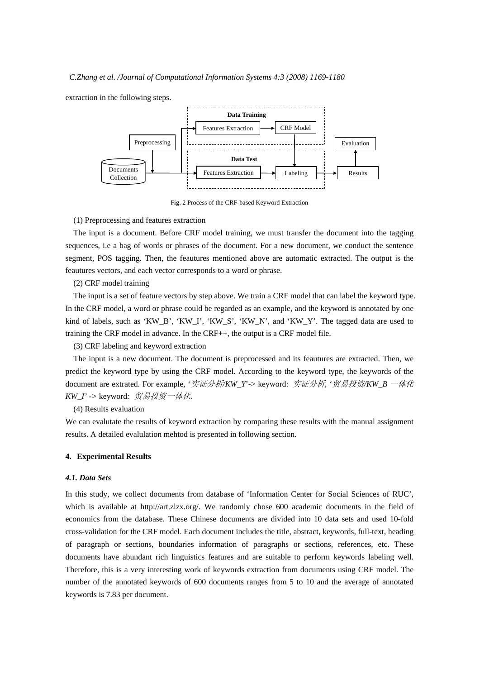extraction in the following steps.



Fig. 2 Process of the CRF-based Keyword Extraction

#### (1) Preprocessing and features extraction

The input is a document. Before CRF model training, we must transfer the document into the tagging sequences, i.e a bag of words or phrases of the document. For a new document, we conduct the sentence segment, POS tagging. Then, the feautures mentioned above are automatic extracted. The output is the feautures vectors, and each vector corresponds to a word or phrase.

## (2) CRF model training

The input is a set of feature vectors by step above. We train a CRF model that can label the keyword type. In the CRF model, a word or phrase could be regarded as an example, and the keyword is annotated by one kind of labels, such as 'KW\_B', 'KW\_I', 'KW\_S', 'KW\_N', and 'KW\_Y'. The tagged data are used to training the CRF model in advance. In the CRF++, the output is a CRF model file.

(3) CRF labeling and keyword extraction

The input is a new document. The document is preprocessed and its feautures are extracted. Then, we predict the keyword type by using the CRF model. According to the keyword type, the keywords of the document are extrated. For example, '实证分析*/KW\_Y*'-> keyword: 实证分析*, '*贸易投资*/KW\_B* 一体化 *KW\_I' ->* keyword*:* 贸易投资一体化.

(4) Results evaluation

We can evalutate the results of keyword extraction by comparing these results with the manual assignment results. A detailed evalulation mehtod is presented in following section.

## **4. Experimental Results**

## *4.1. Data Sets*

In this study, we collect documents from database of 'Information Center for Social Sciences of RUC', which is available at http://art.zlzx.org/. We randomly chose 600 academic documents in the field of economics from the database. These Chinese documents are divided into 10 data sets and used 10-fold cross-validation for the CRF model. Each document includes the title, abstract, keywords, full-text, heading of paragraph or sections, boundaries information of paragraphs or sections, references, etc. These documents have abundant rich linguistics features and are suitable to perform keywords labeling well. Therefore, this is a very interesting work of keywords extraction from documents using CRF model. The number of the annotated keywords of 600 documents ranges from 5 to 10 and the average of annotated keywords is 7.83 per document.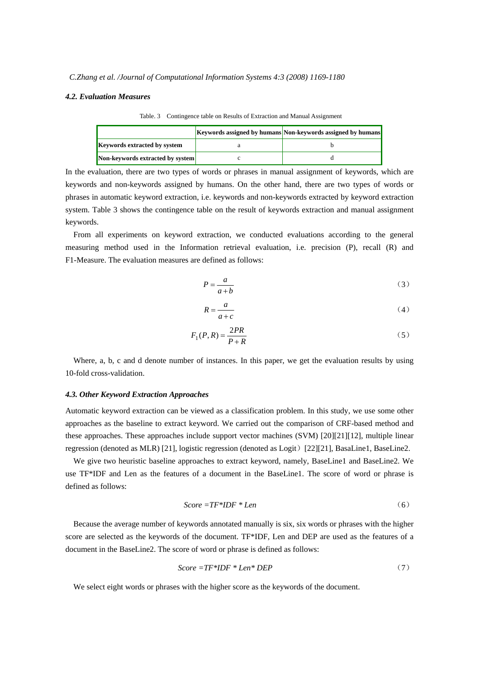#### *4.2. Evaluation Measures*

|                                     | Keywords assigned by humans Non-keywords assigned by humans |
|-------------------------------------|-------------------------------------------------------------|
| <b>Keywords extracted by system</b> |                                                             |
| Non-keywords extracted by system    |                                                             |

Table. 3 Contingence table on Results of Extraction and Manual Assignment

In the evaluation, there are two types of words or phrases in manual assignment of keywords, which are keywords and non-keywords assigned by humans. On the other hand, there are two types of words or phrases in automatic keyword extraction, i.e. keywords and non-keywords extracted by keyword extraction system. Table 3 shows the contingence table on the result of keywords extraction and manual assignment keywords.

From all experiments on keyword extraction, we conducted evaluations according to the general measuring method used in the Information retrieval evaluation, i.e. precision (P), recall (R) and F1-Measure. The evaluation measures are defined as follows:

$$
P = \frac{a}{a+b} \tag{3}
$$

$$
R = \frac{a}{a+c} \tag{4}
$$

$$
F_1(P,R) = \frac{2PR}{P+R}
$$
\n<sup>(5)</sup>

Where, a, b, c and d denote number of instances. In this paper, we get the evaluation results by using 10-fold cross-validation.

# *4.3. Other Keyword Extraction Approaches*

Automatic keyword extraction can be viewed as a classification problem. In this study, we use some other approaches as the baseline to extract keyword. We carried out the comparison of CRF-based method and these approaches. These approaches include support vector machines (SVM) [20][21][12], multiple linear regression (denoted as MLR) [21], logistic regression (denoted as Logit)[22][21], BasaLine1, BaseLine2.

We give two heuristic baseline approaches to extract keyword, namely, BaseLine1 and BaseLine2. We use TF\*IDF and Len as the features of a document in the BaseLine1. The score of word or phrase is defined as follows:

$$
Score = TF * IDF * Len
$$
 (6)

Because the average number of keywords annotated manually is six, six words or phrases with the higher score are selected as the keywords of the document. TF\*IDF, Len and DEP are used as the features of a document in the BaseLine2. The score of word or phrase is defined as follows:

$$
Score = TF * IDF * Len * DEP
$$
 (7)

We select eight words or phrases with the higher score as the keywords of the document.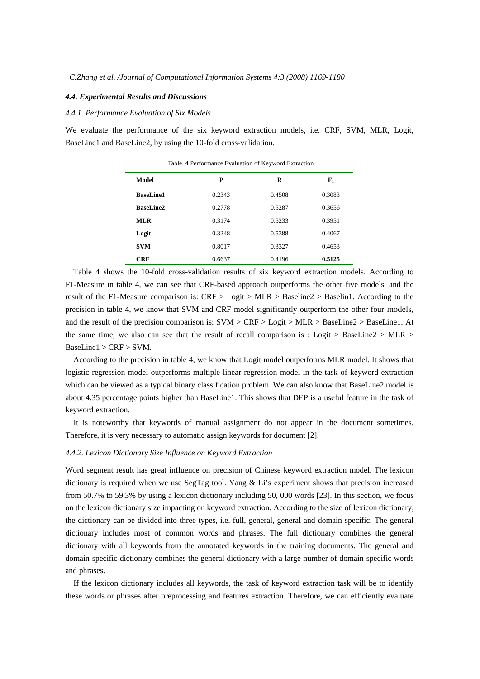## *4.4. Experimental Results and Discussions*

# *4.4.1. Performance Evaluation of Six Models*

We evaluate the performance of the six keyword extraction models, i.e. CRF, SVM, MLR, Logit, BaseLine1 and BaseLine2, by using the 10-fold cross-validation.

| Model            | P      | R      | ${\bf F}_1$ |
|------------------|--------|--------|-------------|
| <b>BaseLine1</b> | 0.2343 | 0.4508 | 0.3083      |
| <b>BaseLine2</b> | 0.2778 | 0.5287 | 0.3656      |
| <b>MLR</b>       | 0.3174 | 0.5233 | 0.3951      |
| Logit            | 0.3248 | 0.5388 | 0.4067      |
| <b>SVM</b>       | 0.8017 | 0.3327 | 0.4653      |
| <b>CRF</b>       | 0.6637 | 0.4196 | 0.5125      |

Table. 4 Performance Evaluation of Keyword Extraction

Table 4 shows the 10-fold cross-validation results of six keyword extraction models. According to F1-Measure in table 4, we can see that CRF-based approach outperforms the other five models, and the result of the F1-Measure comparison is: CRF > Logit > MLR > Baseline2 > Baselin1. According to the precision in table 4, we know that SVM and CRF model significantly outperform the other four models, and the result of the precision comparison is: SVM > CRF > Logit > MLR > BaseLine2 > BaseLine1. At the same time, we also can see that the result of recall comparison is : Logit > BaseLine2 > MLR > BaseLine1 > CRF > SVM.

According to the precision in table 4, we know that Logit model outperforms MLR model. It shows that logistic regression model outperforms multiple linear regression model in the task of keyword extraction which can be viewed as a typical binary classification problem. We can also know that BaseLine2 model is about 4.35 percentage points higher than BaseLine1. This shows that DEP is a useful feature in the task of keyword extraction.

It is noteworthy that keywords of manual assignment do not appear in the document sometimes. Therefore, it is very necessary to automatic assign keywords for document [2].

#### *4.4.2. Lexicon Dictionary Size Influence on Keyword Extraction*

Word segment result has great influence on precision of Chinese keyword extraction model. The lexicon dictionary is required when we use SegTag tool. Yang & Li's experiment shows that precision increased from 50.7% to 59.3% by using a lexicon dictionary including 50, 000 words [23]. In this section, we focus on the lexicon dictionary size impacting on keyword extraction. According to the size of lexicon dictionary, the dictionary can be divided into three types, i.e. full, general, general and domain-specific. The general dictionary includes most of common words and phrases. The full dictionary combines the general dictionary with all keywords from the annotated keywords in the training documents. The general and domain-specific dictionary combines the general dictionary with a large number of domain-specific words and phrases.

If the lexicon dictionary includes all keywords, the task of keyword extraction task will be to identify these words or phrases after preprocessing and features extraction. Therefore, we can efficiently evaluate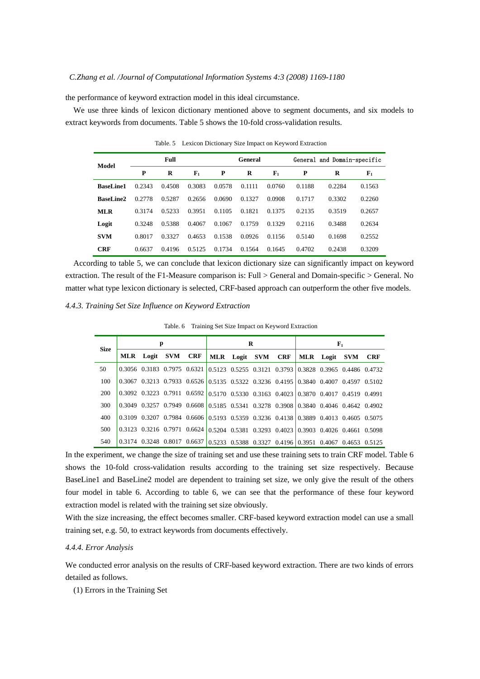the performance of keyword extraction model in this ideal circumstance.

We use three kinds of lexicon dictionary mentioned above to segment documents, and six models to extract keywords from documents. Table 5 shows the 10-fold cross-validation results.

| Model            |        | Full   |                |        | General |             | General and Domain-specific |        |             |  |
|------------------|--------|--------|----------------|--------|---------|-------------|-----------------------------|--------|-------------|--|
|                  | P      | R      | $\mathbf{F}_1$ | P      | R       | ${\bf F}_1$ | P                           | R      | ${\bf F}_1$ |  |
| <b>BaseLine1</b> | 0.2343 | 0.4508 | 0.3083         | 0.0578 | 0.1111  | 0.0760      | 0.1188                      | 0.2284 | 0.1563      |  |
| <b>BaseLine2</b> | 0.2778 | 0.5287 | 0.2656         | 0.0690 | 0.1327  | 0.0908      | 0.1717                      | 0.3302 | 0.2260      |  |
| <b>MLR</b>       | 0.3174 | 0.5233 | 0.3951         | 0.1105 | 0.1821  | 0.1375      | 0.2135                      | 0.3519 | 0.2657      |  |
| Logit            | 0.3248 | 0.5388 | 0.4067         | 0.1067 | 0.1759  | 0.1329      | 0.2116                      | 0.3488 | 0.2634      |  |
| <b>SVM</b>       | 0.8017 | 0.3327 | 0.4653         | 0.1538 | 0.0926  | 0.1156      | 0.5140                      | 0.1698 | 0.2552      |  |
| <b>CRF</b>       | 0.6637 | 0.4196 | 0.5125         | 0.1734 | 0.1564  | 0.1645      | 0.4702                      | 0.2438 | 0.3209      |  |

Table. 5 Lexicon Dictionary Size Impact on Keyword Extraction

 According to table 5, we can conclude that lexicon dictionary size can significantly impact on keyword extraction. The result of the F1-Measure comparison is: Full > General and Domain-specific > General. No matter what type lexicon dictionary is selected, CRF-based approach can outperform the other five models.

# *4.4.3. Training Set Size Influence on Keyword Extraction*

Table. 6 Training Set Size Impact on Keyword Extraction

| <b>Size</b> |                   | р |  | R |                                                                                     | ${\bf F}_1$ |  |            |  |
|-------------|-------------------|---|--|---|-------------------------------------------------------------------------------------|-------------|--|------------|--|
|             | MLR Logit SVM CRF |   |  |   | MLR Logit SVM CRF   MLR Logit SVM                                                   |             |  | <b>CRF</b> |  |
| 50          |                   |   |  |   | 0.3056 0.3183 0.7975 0.6321 0.5123 0.5255 0.3121 0.3793 0.3828 0.3965 0.4486 0.4732 |             |  |            |  |
| 100         |                   |   |  |   | 0.3067 0.3213 0.7933 0.6526 0.5135 0.5322 0.3236 0.4195 0.3840 0.4007 0.4597 0.5102 |             |  |            |  |
| 200         |                   |   |  |   | 0.3092 0.3223 0.7911 0.6592 0.5170 0.5330 0.3163 0.4023 0.3870 0.4017 0.4519 0.4991 |             |  |            |  |
| 300         |                   |   |  |   | 0.3049 0.3257 0.7949 0.6608 0.5185 0.5341 0.3278 0.3908 0.3840 0.4046 0.4642 0.4902 |             |  |            |  |
| 400         |                   |   |  |   | 0.3109 0.3207 0.7984 0.6606 0.5193 0.5359 0.3236 0.4138 0.3889 0.4013 0.4605 0.5075 |             |  |            |  |
| 500         |                   |   |  |   | 0.3123 0.3216 0.7971 0.6624 0.5204 0.5381 0.3293 0.4023 0.3903 0.4026 0.4661 0.5098 |             |  |            |  |
| 540         |                   |   |  |   | 0.3174 0.3248 0.8017 0.6637 0.5233 0.5388 0.3327 0.4196 0.3951 0.4067 0.4653 0.5125 |             |  |            |  |

In the experiment, we change the size of training set and use these training sets to train CRF model. Table 6 shows the 10-fold cross-validation results according to the training set size respectively. Because BaseLine1 and BaseLine2 model are dependent to training set size, we only give the result of the others four model in table 6. According to table 6, we can see that the performance of these four keyword extraction model is related with the training set size obviously.

With the size increasing, the effect becomes smaller. CRF-based keyword extraction model can use a small training set, e.g. 50, to extract keywords from documents effectively.

#### *4.4.4. Error Analysis*

We conducted error analysis on the results of CRF-based keyword extraction. There are two kinds of errors detailed as follows.

(1) Errors in the Training Set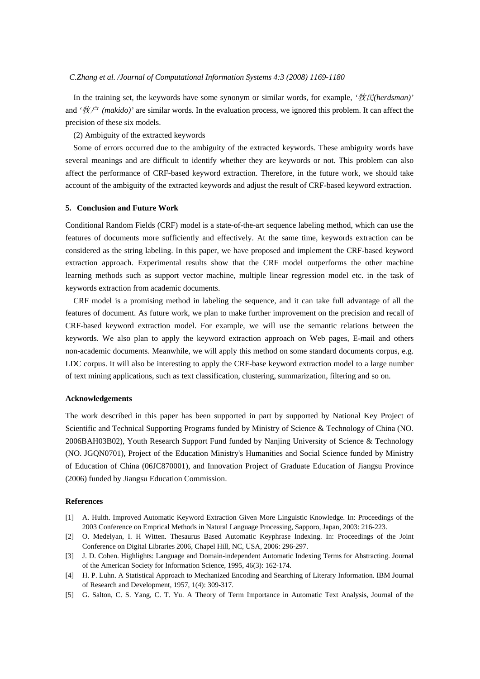In the training set, the keywords have some synonym or similar words, for example, *'*牧民*(herdsman)'* and *'*牧户 *(makido)'* are similar words. In the evaluation process, we ignored this problem. It can affect the precision of these six models.

(2) Ambiguity of the extracted keywords

Some of errors occurred due to the ambiguity of the extracted keywords. These ambiguity words have several meanings and are difficult to identify whether they are keywords or not. This problem can also affect the performance of CRF-based keyword extraction. Therefore, in the future work, we should take account of the ambiguity of the extracted keywords and adjust the result of CRF-based keyword extraction.

#### **5. Conclusion and Future Work**

Conditional Random Fields (CRF) model is a state-of-the-art sequence labeling method, which can use the features of documents more sufficiently and effectively. At the same time, keywords extraction can be considered as the string labeling. In this paper, we have proposed and implement the CRF-based keyword extraction approach. Experimental results show that the CRF model outperforms the other machine learning methods such as support vector machine, multiple linear regression model etc. in the task of keywords extraction from academic documents.

CRF model is a promising method in labeling the sequence, and it can take full advantage of all the features of document. As future work, we plan to make further improvement on the precision and recall of CRF-based keyword extraction model. For example, we will use the semantic relations between the keywords. We also plan to apply the keyword extraction approach on Web pages, E-mail and others non-academic documents. Meanwhile, we will apply this method on some standard documents corpus, e.g. LDC corpus. It will also be interesting to apply the CRF-base keyword extraction model to a large number of text mining applications, such as text classification, clustering, summarization, filtering and so on.

#### **Acknowledgements**

The work described in this paper has been supported in part by supported by National Key Project of Scientific and Technical Supporting Programs funded by Ministry of Science & Technology of China (NO. 2006BAH03B02), Youth Research Support Fund funded by Nanjing University of Science & Technology (NO. JGQN0701), Project of the Education Ministry's Humanities and Social Science funded by Ministry of Education of China (06JC870001), and Innovation Project of Graduate Education of Jiangsu Province (2006) funded by Jiangsu Education Commission.

#### **References**

- [1] A. Hulth. Improved Automatic Keyword Extraction Given More Linguistic Knowledge. In: Proceedings of the 2003 Conference on Emprical Methods in Natural Language Processing, Sapporo, Japan, 2003: 216-223.
- [2] O. Medelyan, I. H Witten. Thesaurus Based Automatic Keyphrase Indexing. In: Proceedings of the Joint Conference on Digital Libraries 2006, Chapel Hill, NC, USA, 2006: 296-297.
- [3] J. D. Cohen. Highlights: Language and Domain-independent Automatic Indexing Terms for Abstracting. Journal of the American Society for Information Science, 1995, 46(3): 162-174.
- [4] H. P. Luhn. A Statistical Approach to Mechanized Encoding and Searching of Literary Information. IBM Journal of Research and Development, 1957, 1(4): 309-317.
- [5] G. Salton, C. S. Yang, C. T. Yu. A Theory of Term Importance in Automatic Text Analysis, Journal of the